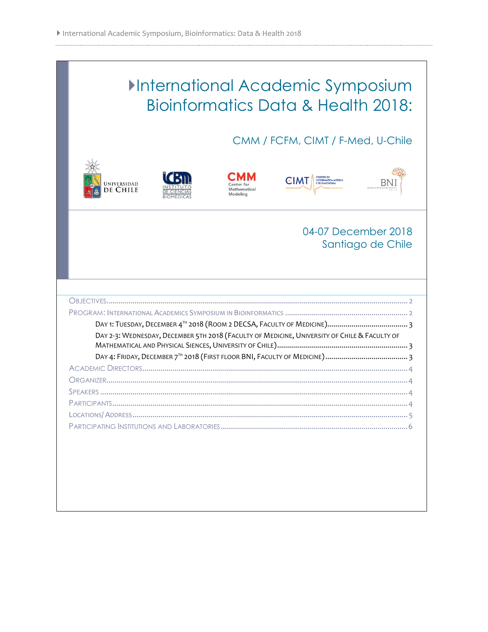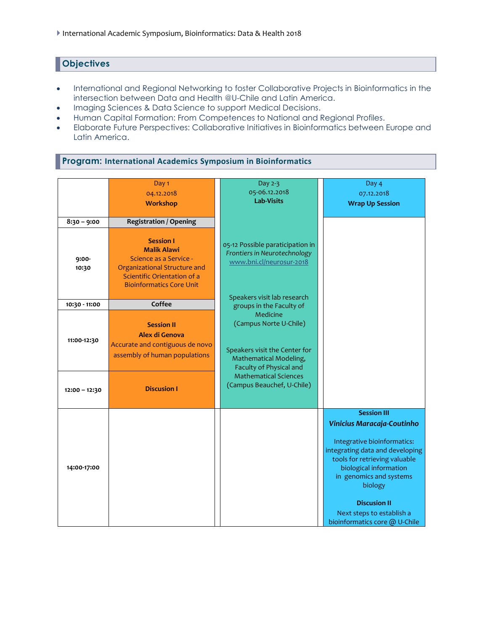# **Objectives**

- International and Regional Networking to foster Collaborative Projects in Bioinformatics in the intersection between Data and Health @U-Chile and Latin America.
- Imaging Sciences & Data Science to support Medical Decisions.
- Human Capital Formation: From Competences to National and Regional Profiles.
- Elaborate Future Perspectives: Collaborative Initiatives in Bioinformatics between Europe and Latin America.

### **Program: International Academics Symposium in Bioinformatics**

|                                | Day 1                                                                                                                                                              | Day 2-3                                                                                                                                                                                                            | Day 4                                                                                                                                                                                                                                                                                                    |
|--------------------------------|--------------------------------------------------------------------------------------------------------------------------------------------------------------------|--------------------------------------------------------------------------------------------------------------------------------------------------------------------------------------------------------------------|----------------------------------------------------------------------------------------------------------------------------------------------------------------------------------------------------------------------------------------------------------------------------------------------------------|
|                                | 04.12.2018                                                                                                                                                         | 05-06.12.2018                                                                                                                                                                                                      | 07.12.2018                                                                                                                                                                                                                                                                                               |
|                                | <b>Workshop</b>                                                                                                                                                    | <b>Lab-Visits</b>                                                                                                                                                                                                  | <b>Wrap Up Session</b>                                                                                                                                                                                                                                                                                   |
|                                |                                                                                                                                                                    |                                                                                                                                                                                                                    |                                                                                                                                                                                                                                                                                                          |
| $8:30 - 9:00$                  | <b>Registration / Opening</b>                                                                                                                                      |                                                                                                                                                                                                                    |                                                                                                                                                                                                                                                                                                          |
| $9:00-$<br>10:30               | <b>Session I</b><br><b>Malik Alawi</b><br>Science as a Service -<br>Organizational Structure and<br>Scientific Orientation of a<br><b>Bioinformatics Core Unit</b> | 05-12 Possible paraticipation in<br>Frontiers in Neurotechnology<br>www.bni.cl/neurosur-2018                                                                                                                       |                                                                                                                                                                                                                                                                                                          |
| 10:30 - 11:00                  | Coffee                                                                                                                                                             | Speakers visit lab research                                                                                                                                                                                        |                                                                                                                                                                                                                                                                                                          |
| 11:00-12:30<br>$12:00 - 12:30$ | <b>Session II</b><br>Alex di Genova<br>Accurate and contiguous de novo<br>assembly of human populations<br><b>Discusion I</b>                                      | groups in the Faculty of<br>Medicine<br>(Campus Norte U-Chile)<br>Speakers visit the Center for<br>Mathematical Modeling,<br>Faculty of Physical and<br><b>Mathematical Sciences</b><br>(Campus Beauchef, U-Chile) |                                                                                                                                                                                                                                                                                                          |
| 14:00-17:00                    |                                                                                                                                                                    |                                                                                                                                                                                                                    | <b>Session III</b><br>Vinicius Maracaja-Coutinho<br>Integrative bioinformatics:<br>integrating data and developing<br>tools for retrieving valuable<br>biological information<br>in genomics and systems<br>biology<br><b>Discusion II</b><br>Next steps to establish a<br>bioinformatics core @ U-Chile |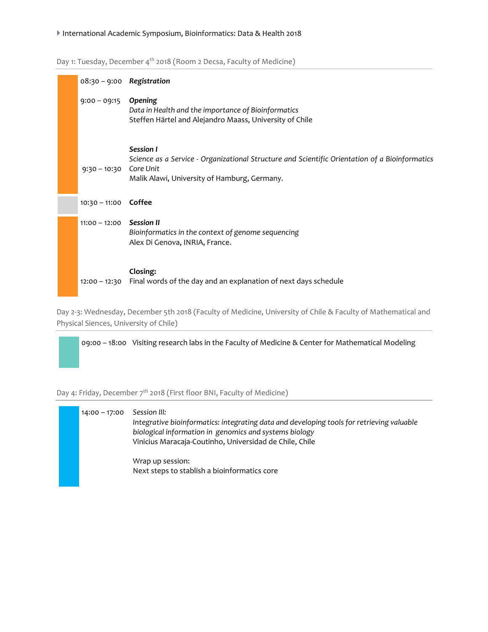#### International Academic Symposium, Bioinformatics: Data & Health 2018

Day 1: Tuesday, December 4<sup>th</sup> 2018 (Room 2 Decsa, Faculty of Medicine)

| $08:30 - 9:00$ Registration |                                                                                                                                                                          |
|-----------------------------|--------------------------------------------------------------------------------------------------------------------------------------------------------------------------|
| $9:00 - 09:15$ Opening      | Data in Health and the importance of Bioinformatics<br>Steffen Härtel and Alejandro Maass, University of Chile                                                           |
| $9:30 - 10:30$              | Session I<br>Science as a Service - Organizational Structure and Scientific Orientation of a Bioinformatics<br>Core Unit<br>Malik Alawi, University of Hamburg, Germany. |
| $10:30 - 11:00$             | Coffee                                                                                                                                                                   |
| $11:00 - 12:00$             | Session II<br>Bioinformatics in the context of genome sequencing<br>Alex Di Genova, INRIA, France.                                                                       |
| $12:00 - 12:30$             | Closing:<br>Final words of the day and an explanation of next days schedule                                                                                              |

Day 2-3: Wednesday, December 5th 2018 (Faculty of Medicine, University of Chile & Faculty of Mathematical and Physical Siences, University of Chile)

09:00 – 18:00 Visiting research labs in the Faculty of Medicine & Center for Mathematical Modeling

Day 4: Friday, December 7<sup>th</sup> 2018 (First floor BNI, Faculty of Medicine)

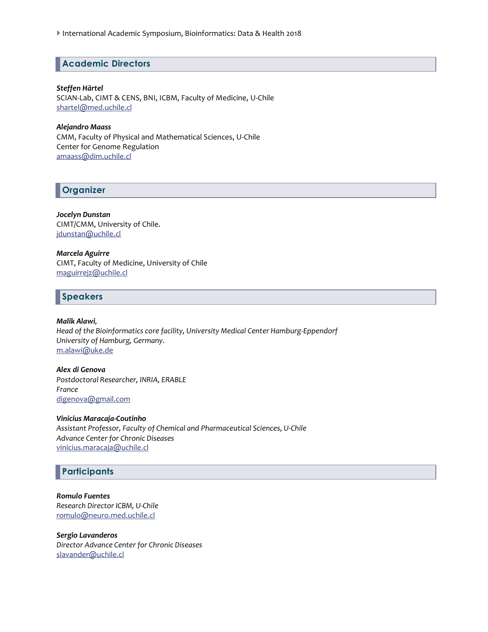International Academic Symposium, Bioinformatics: Data & Health 2018

# **Academic Directors**

*Steffen Härtel* SCIAN-Lab, CIMT & CENS, BNI, ICBM, Faculty of Medicine, U-Chile [shartel@med.uchile.cl](mailto:shartel@med.uchile.cl)

#### *Alejandro Maass*

CMM, Faculty of Physical and Mathematical Sciences, U-Chile Center for Genome Regulation [amaass@dim.uchile.cl](mailto:hartmut.dickhaus@med.uni-heidelberg.de)

### **Organizer**

*Jocelyn Dunstan* CIMT/CMM, University of Chile. [jdunstan@uchile.cl](mailto:ccarrasco@u.uchile.cl)

*Marcela Aguirre* CIMT, Faculty of Medicine, University of Chile [maguirrejz@uchile.cl](mailto:maguirrejz@uchile.c)

### **Speakers**

#### *Malik Alawi,*

*Head of the Bioinformatics core facility, University Medical Center Hamburg-Eppendorf University of Hamburg, Germany.* m.alawi@uke.de

*Alex di Genova Postdoctoral Researcher, INRIA, ERABLE France* [digenova@gmail.com](mailto:digenova@gmail.com)

#### *Vinicius Maracaja-Coutinho*

*Assistant Professor, Faculty of Chemical and Pharmaceutical Sciences, U-Chile Advance Center for Chronic Diseases* [vinicius.maracaja@uchile.cl](mailto:vinicius.maracaja@uchile.cl)

### **Participants**

*Romulo Fuentes Research Director ICBM, U-Chile* romulo@neuro.med.uchile.cl

*Sergio Lavanderos Director Advance Center for Chronic Diseases* slavander@uchile.cl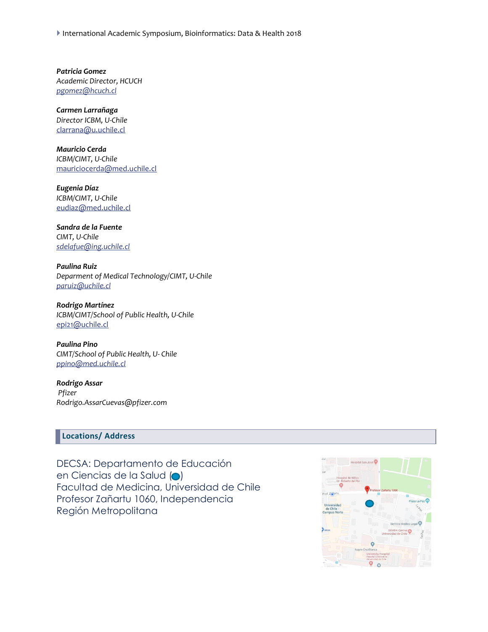International Academic Symposium, Bioinformatics: Data & Health 2018

*Patricia Gomez Academic Director, HCUCH pgomez@hcuch.cl*

*Carmen Larrañaga Director ICBM, U-Chile* clarrana@u.uchile.cl

*Mauricio Cerda ICBM/CIMT, U-Chile* mauriciocerda@med.uchile.cl

*Eugenia Díaz ICBM/CIMT, U-Chile* [eudiaz@med.uchile.cl](mailto:eudiaz@med.uchile.cl)

*Sandra de la Fuente CIMT, U-Chile sdelafue@ing.uchile.cl* 

*Paulina Ruiz Deparment of Medical Technology/CIMT, U-Chile [paruiz@uchile.cl](mailto:paruiz@uchile.cl)*

*Rodrigo Martínez ICBM/CIMT/School of Public Health, U-Chile* epi21@uchile.cl

*Paulina Pino CIMT/School of Public Health, U- Chile [ppino@med.uchile.cl](mailto:mnivelo@med.uchile.cl)*

*Rodrigo Assar Pfizer Rodrigo.AssarCuevas@pfizer.com*

# **Locations/ Address**

DECSA: Departamento de Educación en Ciencias de la Salud (o) Facultad de Medicina, Universidad de Chile Profesor Zañartu 1060, Independencia Región Metropolitana

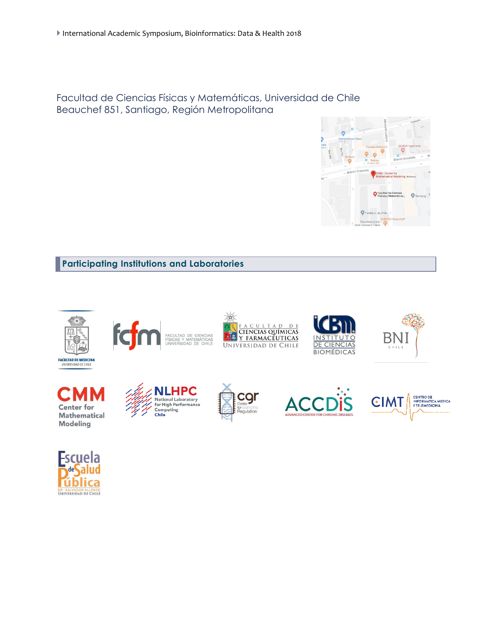Facultad de Ciencias Físicas y Matemáticas, Universidad de Chile Beauchef 851, Santiago, Región Metropolitana



**Participating Institutions and Laboratories**